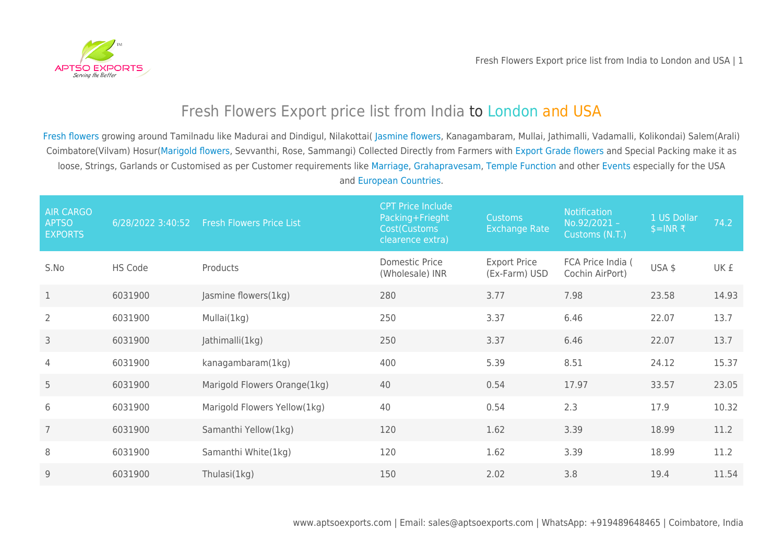

## [Fresh Flowers Export price list from India to](https://aptsoexports.com/fresh-flowers-export-price-list-india-to-london-and-france/) [London and USA](https://aptsoexports.com/fresh-flowers-export-price-list-india-to-london-and-france/)

[Fresh flowers](https://aptsoexports.com/price/fresh-flowers-export-price-list-from-india-to-london-and-usa/) growing around Tamilnadu like Madurai and Dindigul, Nilakottai( [Jasmine flowers](https://aptsoexports.com/price/fresh-flowers-export-price-list-from-india-to-london-and-usa/), Kanagambaram, Mullai, Jathimalli, Vadamalli, Kolikondai) Salem(Arali) Coimbatore(Vilvam) Hosur([Marigold flowers](https://aptsoexports.com/price/fresh-flowers-export-price-list-from-india-to-london-and-usa/), Sevvanthi, Rose, Sammangi) Collected Directly from Farmers with [Export Grade flowers](https://aptsoexports.com/price/fresh-flowers-export-price-list-from-india-to-london-and-usa/) and Special Packing make it as loose, Strings, Garlands or Customised as per Customer requirements like [Marriage](https://aptsoexports.com/price/fresh-flowers-export-price-list-from-india-to-london-and-usa/), [Grahapravesam](https://aptsoexports.com/price/fresh-flowers-export-price-list-from-india-to-london-and-usa/), [Temple Function](https://aptsoexports.com/price/fresh-flowers-export-price-list-from-india-to-london-and-usa/) and other [Events](https://aptsoexports.com/price/fresh-flowers-export-price-list-from-india-to-london-and-usa/) especially for the USA and [European Countries.](https://aptsoexports.com/price/fresh-flowers-export-price-list-from-india-to-london-and-usa/)

| <b>AIR CARGO</b><br><b>APTSO</b><br><b>EXPORTS</b> | 6/28/2022 3:40:52 | <b>Fresh Flowers Price List</b> | <b>CPT Price Include</b><br>Packing+Frieght<br>Cost(Customs<br>clearence extra) | <b>Customs</b><br><b>Exchange Rate</b> | <b>Notification</b><br>No.92/2021-<br>Customs (N.T.) | 1 US Dollar<br>$$=INR$ ₹ | 74.2  |
|----------------------------------------------------|-------------------|---------------------------------|---------------------------------------------------------------------------------|----------------------------------------|------------------------------------------------------|--------------------------|-------|
| S.No                                               | <b>HS Code</b>    | Products                        | Domestic Price<br>(Wholesale) INR                                               | <b>Export Price</b><br>(Ex-Farm) USD   | FCA Price India (<br>Cochin AirPort)                 | USA \$                   | UK £  |
| $\mathbf{1}$                                       | 6031900           | Jasmine flowers(1kg)            | 280                                                                             | 3.77                                   | 7.98                                                 | 23.58                    | 14.93 |
| $\overline{2}$                                     | 6031900           | Mullai(1kg)                     | 250                                                                             | 3.37                                   | 6.46                                                 | 22.07                    | 13.7  |
| 3                                                  | 6031900           | Jathimalli(1kg)                 | 250                                                                             | 3.37                                   | 6.46                                                 | 22.07                    | 13.7  |
| $\overline{4}$                                     | 6031900           | kanagambaram(1kg)               | 400                                                                             | 5.39                                   | 8.51                                                 | 24.12                    | 15.37 |
| 5                                                  | 6031900           | Marigold Flowers Orange(1kg)    | 40                                                                              | 0.54                                   | 17.97                                                | 33.57                    | 23.05 |
| 6                                                  | 6031900           | Marigold Flowers Yellow(1kg)    | 40                                                                              | 0.54                                   | 2.3                                                  | 17.9                     | 10.32 |
| $\overline{7}$                                     | 6031900           | Samanthi Yellow(1kg)            | 120                                                                             | 1.62                                   | 3.39                                                 | 18.99                    | 11.2  |
| 8                                                  | 6031900           | Samanthi White(1kg)             | 120                                                                             | 1.62                                   | 3.39                                                 | 18.99                    | 11.2  |
| 9                                                  | 6031900           | Thulasi(1kg)                    | 150                                                                             | 2.02                                   | 3.8                                                  | 19.4                     | 11.54 |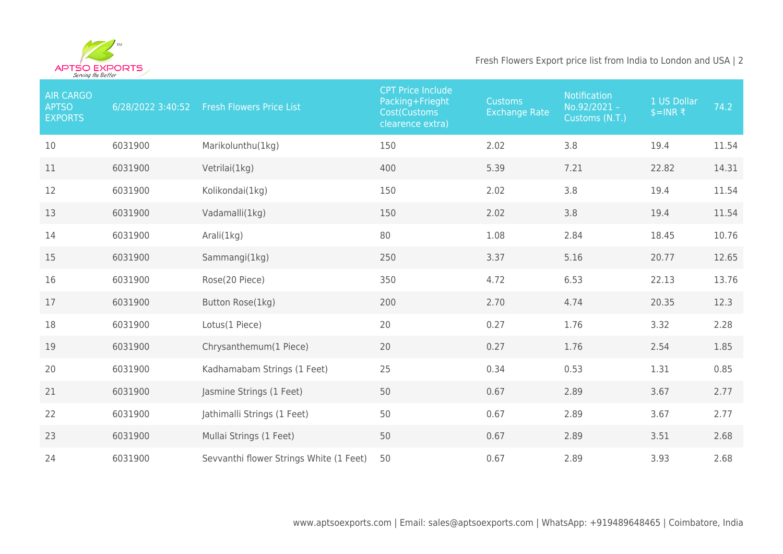

## Fresh Flowers Export price list from India to London and USA | 2

| <b>AIR CARGO</b><br><b>APTSO</b><br><b>EXPORTS</b> | 6/28/2022 3:40:52 | <b>Fresh Flowers Price List</b>         | <b>CPT Price Include</b><br>Packing+Frieght<br>Cost(Customs<br>clearence extra) | <b>Customs</b><br><b>Exchange Rate</b> | Notification<br>No.92/2021 -<br>Customs (N.T.) | 1 US Dollar<br>$$=INR$ ₹ | 74.2  |
|----------------------------------------------------|-------------------|-----------------------------------------|---------------------------------------------------------------------------------|----------------------------------------|------------------------------------------------|--------------------------|-------|
| 10                                                 | 6031900           | Marikolunthu(1kg)                       | 150                                                                             | 2.02                                   | 3.8                                            | 19.4                     | 11.54 |
| 11                                                 | 6031900           | Vetrilai(1kg)                           | 400                                                                             | 5.39                                   | 7.21                                           | 22.82                    | 14.31 |
| 12                                                 | 6031900           | Kolikondai(1kg)                         | 150                                                                             | 2.02                                   | 3.8                                            | 19.4                     | 11.54 |
| 13                                                 | 6031900           | Vadamalli(1kg)                          | 150                                                                             | 2.02                                   | 3.8                                            | 19.4                     | 11.54 |
| 14                                                 | 6031900           | Arali(1kg)                              | 80                                                                              | 1.08                                   | 2.84                                           | 18.45                    | 10.76 |
| 15                                                 | 6031900           | Sammangi(1kg)                           | 250                                                                             | 3.37                                   | 5.16                                           | 20.77                    | 12.65 |
| 16                                                 | 6031900           | Rose(20 Piece)                          | 350                                                                             | 4.72                                   | 6.53                                           | 22.13                    | 13.76 |
| 17                                                 | 6031900           | Button Rose(1kg)                        | 200                                                                             | 2.70                                   | 4.74                                           | 20.35                    | 12.3  |
| 18                                                 | 6031900           | Lotus(1 Piece)                          | 20                                                                              | 0.27                                   | 1.76                                           | 3.32                     | 2.28  |
| 19                                                 | 6031900           | Chrysanthemum(1 Piece)                  | 20                                                                              | 0.27                                   | 1.76                                           | 2.54                     | 1.85  |
| 20                                                 | 6031900           | Kadhamabam Strings (1 Feet)             | 25                                                                              | 0.34                                   | 0.53                                           | 1.31                     | 0.85  |
| 21                                                 | 6031900           | Jasmine Strings (1 Feet)                | 50                                                                              | 0.67                                   | 2.89                                           | 3.67                     | 2.77  |
| 22                                                 | 6031900           | Jathimalli Strings (1 Feet)             | 50                                                                              | 0.67                                   | 2.89                                           | 3.67                     | 2.77  |
| 23                                                 | 6031900           | Mullai Strings (1 Feet)                 | 50                                                                              | 0.67                                   | 2.89                                           | 3.51                     | 2.68  |
| 24                                                 | 6031900           | Sevvanthi flower Strings White (1 Feet) | 50                                                                              | 0.67                                   | 2.89                                           | 3.93                     | 2.68  |